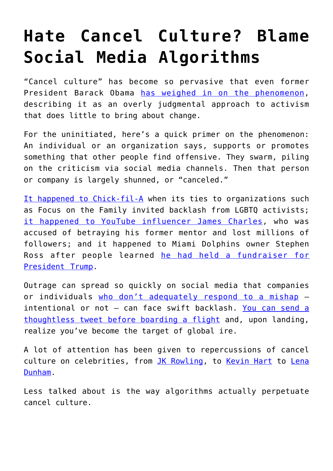## **[Hate Cancel Culture? Blame](https://intellectualtakeout.org/2020/01/hate-cancel-culture-blame-social-media-algorithms/) [Social Media Algorithms](https://intellectualtakeout.org/2020/01/hate-cancel-culture-blame-social-media-algorithms/)**

"Cancel culture" has become so pervasive that even former President Barack Obama [has weighed in on the phenomenon,](https://www.nytimes.com/2019/10/31/us/politics/obama-woke-cancel-culture.html) describing it as an overly judgmental approach to activism that does little to bring about change.

For the uninitiated, here's a quick primer on the phenomenon: An individual or an organization says, supports or promotes something that other people find offensive. They swarm, piling on the criticism via social media channels. Then that person or company is largely shunned, or "canceled."

[It happened to Chick-fil-A](https://www.cnn.com/2019/11/20/opinions/chick-fil-a-lgbtq-backlash-cancel-culture-hope/index.html) when its ties to organizations such as Focus on the Family invited backlash from LGBTQ activists; [it happened to YouTube influencer James Charles,](https://www.nytimes.com/2019/05/14/style/james-charles-makeup-artist-youtube.html) who was accused of betraying his former mentor and lost millions of followers; and it happened to Miami Dolphins owner Stephen Ross after people learned [he had held a fundraiser for](https://www.washingtonpost.com/business/2019/08/09/who-is-stephen-ross-billionaire-criticized-his-high-end-trump-fundraiser/) [President Trump](https://www.washingtonpost.com/business/2019/08/09/who-is-stephen-ross-billionaire-criticized-his-high-end-trump-fundraiser/).

Outrage can spread so quickly on social media that companies or individuals [who don't adequately respond to a mishap](https://theconversation.com/why-abc-reacted-so-swiftly-to-roseannes-racist-tweet-97496) – intentional or not – can face swift backlash. [You can send a](https://www.nytimes.com/2015/02/15/magazine/how-one-stupid-tweet-ruined-justine-saccos-life.html) [thoughtless tweet before boarding a flight](https://www.nytimes.com/2015/02/15/magazine/how-one-stupid-tweet-ruined-justine-saccos-life.html) and, upon landing, realize you've become the target of global ire.

A lot of attention has been given to repercussions of cancel culture on celebrities, from [JK Rowling](https://reason.com/2019/12/31/cancel-culture-2019-year/), to [Kevin Hart](https://www.marketplace.org/2019/12/27/what-kevin-harts-new-docuseries-says-about-cancel-culture/) to [Lena](https://www.salon.com/2017/11/20/lena-dunham-is-cancelled/) [Dunham](https://www.salon.com/2017/11/20/lena-dunham-is-cancelled/).

Less talked about is the way algorithms actually perpetuate cancel culture.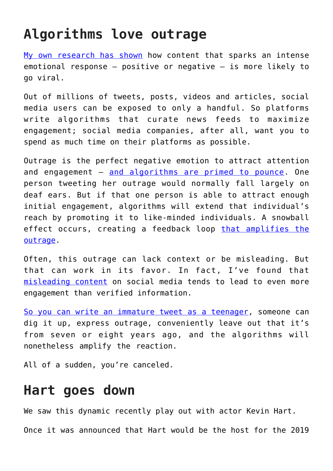## **Algorithms love outrage**

[My own research has shown](https://doi.org/10.1080/07421222.2016.1172454) how content that sparks an intense emotional response – positive or negative – is more likely to go viral.

Out of millions of tweets, posts, videos and articles, social media users can be exposed to only a handful. So platforms write algorithms that curate news feeds to maximize engagement; social media companies, after all, want you to spend as much time on their platforms as possible.

Outrage is the perfect negative emotion to attract attention and engagement – [and algorithms are primed to pounce](https://doi.org/10.1093/poq/nfw006). One person tweeting her outrage would normally fall largely on deaf ears. But if that one person is able to attract enough initial engagement, algorithms will extend that individual's reach by promoting it to like-minded individuals. A snowball effect occurs, creating a feedback loop [that amplifies the](https://theconversation.com/feedback-loops-and-echo-chambers-how-algorithms-amplify-viewpoints-107935) [outrage](https://theconversation.com/feedback-loops-and-echo-chambers-how-algorithms-amplify-viewpoints-107935).

Often, this outrage can lack context or be misleading. But that can work in its favor. In fact, I've found that [misleading content](http://dx.doi.org/10.2139/ssrn.3061149) on social media tends to lead to even more engagement than verified information.

[So you can write an immature tweet as a teenager](https://deadline.com/2018/12/heisman-trophy-winner-kyler-murray-made-homophobic-tweets-as-teenager-1202516827/), someone can dig it up, express outrage, conveniently leave out that it's from seven or eight years ago, and the algorithms will nonetheless amplify the reaction.

All of a sudden, you're canceled.

## **Hart goes down**

We saw this dynamic recently play out with actor Kevin Hart. Once it was announced that Hart would be the host for the 2019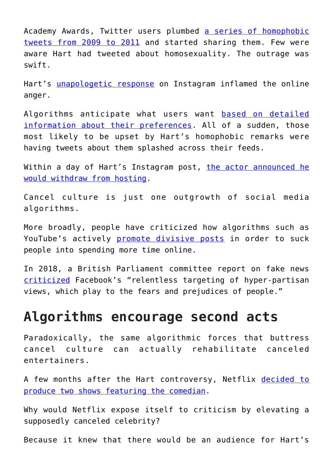Academy Awards, Twitter users plumbed [a series of homophobic](https://www.billboard.com/articles/events/oscars/8492982/kevin-hart-oscar-hosting-controversy-timeline) [tweets from 2009 to 2011](https://www.billboard.com/articles/events/oscars/8492982/kevin-hart-oscar-hosting-controversy-timeline) and started sharing them. Few were aware Hart had tweeted about homosexuality. The outrage was swift.

Hart's [unapologetic response](https://www.instagram.com/p/BrEjHFCFe83/?utm_source=ig_embed) on Instagram inflamed the online anger.

Algorithms anticipate what users want [based on detailed](https://www.nytimes.com/2018/08/16/technology/facebook-microtargeting-advertising.html) [information about their preferences](https://www.nytimes.com/2018/08/16/technology/facebook-microtargeting-advertising.html). All of a sudden, those most likely to be upset by Hart's homophobic remarks were having tweets about them splashed across their feeds.

Within a day of Hart's Instagram post, [the actor announced he](https://deadline.com/2019/01/kevin-hart-no-academy-awards-host-ellen-degeneres-1202529458/) [would withdraw from hosting.](https://deadline.com/2019/01/kevin-hart-no-academy-awards-host-ellen-degeneres-1202529458/)

Cancel culture is just one outgrowth of social media algorithms.

More broadly, people have criticized how algorithms such as YouTube's actively [promote divisive posts](https://www.theguardian.com/technology/2018/feb/02/how-youtubes-algorithm-distorts-truth) in order to suck people into spending more time online.

In 2018, a British Parliament committee report on fake news [criticized](https://www.theguardian.com/technology/2018/jul/27/fake-news-inquiry-data-misuse-deomcracy-at-risk-mps-conclude) Facebook's "relentless targeting of hyper-partisan views, which play to the fears and prejudices of people."

## **Algorithms encourage second acts**

Paradoxically, the same algorithmic forces that buttress cancel culture can actually rehabilitate canceled entertainers.

A few months after the Hart controversy, Netflix [decided to](https://www.usatoday.com/story/entertainment/tv/2019/12/27/kevin-harts-netflix-documentary-series-dont-f-ck-this-up/2759669001/) [produce two shows featuring the comedian.](https://www.usatoday.com/story/entertainment/tv/2019/12/27/kevin-harts-netflix-documentary-series-dont-f-ck-this-up/2759669001/)

Why would Netflix expose itself to criticism by elevating a supposedly canceled celebrity?

Because it knew that there would be an audience for Hart's